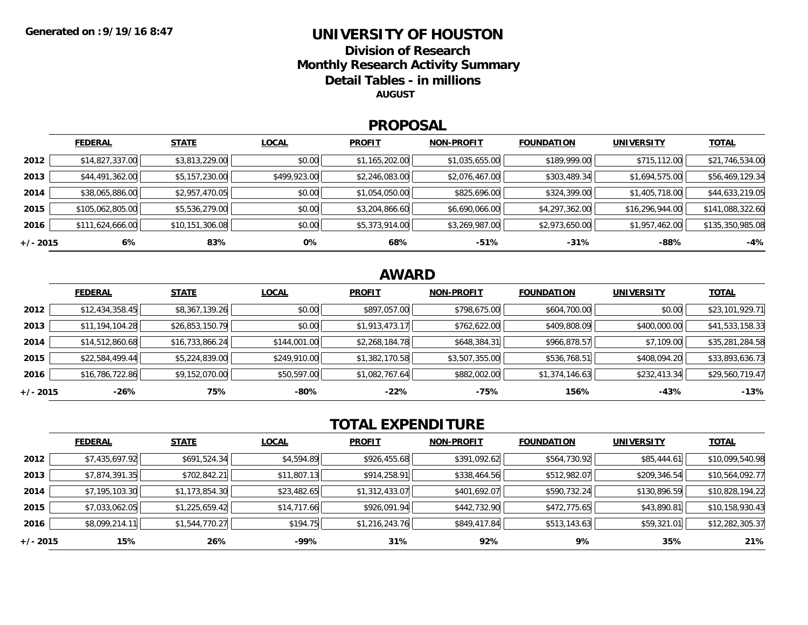## **UNIVERSITY OF HOUSTONDivision of Research**

**Monthly Research Activity Summary**

**Detail Tables - in millions**

**AUGUST**

#### **PROPOSAL**

|            | <b>FEDERAL</b>   | <b>STATE</b>    | <b>LOCAL</b> | <b>PROFIT</b>  | <b>NON-PROFIT</b> | <b>FOUNDATION</b> | <b>UNIVERSITY</b> | <b>TOTAL</b>     |
|------------|------------------|-----------------|--------------|----------------|-------------------|-------------------|-------------------|------------------|
| 2012       | \$14,827,337.00  | \$3,813,229.00  | \$0.00       | \$1,165,202.00 | \$1,035,655.00    | \$189,999.00      | \$715,112.00      | \$21,746,534.00  |
| 2013       | \$44,491,362.00  | \$5,157,230.00  | \$499,923.00 | \$2,246,083.00 | \$2,076,467.00    | \$303,489.34      | \$1,694,575.00    | \$56,469,129.34  |
| 2014       | \$38,065,886.00  | \$2,957,470.05  | \$0.00       | \$1,054,050.00 | \$825,696.00      | \$324,399.00      | \$1,405,718.00    | \$44,633,219.05  |
| 2015       | \$105,062,805.00 | \$5,536,279.00  | \$0.00       | \$3,204,866.60 | \$6,690,066.00    | \$4,297,362.00    | \$16,296,944.00   | \$141,088,322.60 |
| 2016       | \$111,624,666.00 | \$10,151,306.08 | \$0.00       | \$5,373,914.00 | \$3,269,987.00    | \$2,973,650.00    | \$1,957,462.00    | \$135,350,985.08 |
| $+/- 2015$ | 6%               | 83%             | 0%           | 68%            | $-51%$            | $-31%$            | $-88%$            | $-4%$            |

#### **AWARD**

|            | <b>FEDERAL</b>  | <b>STATE</b>    | <b>LOCAL</b> | <b>PROFIT</b>  | <b>NON-PROFIT</b> | <b>FOUNDATION</b> | <b>UNIVERSITY</b> | <b>TOTAL</b>    |
|------------|-----------------|-----------------|--------------|----------------|-------------------|-------------------|-------------------|-----------------|
| 2012       | \$12,434,358.45 | \$8,367,139.26  | \$0.00       | \$897,057.00   | \$798,675.00      | \$604,700.00      | \$0.00            | \$23,101,929.71 |
| 2013       | \$11,194,104.28 | \$26,853,150.79 | \$0.00       | \$1,913,473.17 | \$762,622.00      | \$409,808.09      | \$400,000.00      | \$41,533,158.33 |
| 2014       | \$14,512,860.68 | \$16,733,866.24 | \$144,001.00 | \$2,268,184.78 | \$648,384.31      | \$966,878.57      | \$7,109.00        | \$35,281,284.58 |
| 2015       | \$22,584,499.44 | \$5,224,839.00  | \$249,910.00 | \$1,382,170.58 | \$3,507,355.00    | \$536,768.51      | \$408,094.20      | \$33,893,636.73 |
| 2016       | \$16,786,722.86 | \$9,152,070.00  | \$50,597.00  | \$1,082,767.64 | \$882,002.00      | \$1,374,146.63    | \$232,413.34      | \$29,560,719.47 |
| $+/- 2015$ | -26%            | 75%             | -80%         | $-22%$         | -75%              | 156%              | -43%              | $-13%$          |

### **TOTAL EXPENDITURE**

|          | <b>FEDERAL</b> | <b>STATE</b>   | <b>LOCAL</b> | <b>PROFIT</b>  | <b>NON-PROFIT</b> | <b>FOUNDATION</b> | <b>UNIVERSITY</b> | <b>TOTAL</b>    |
|----------|----------------|----------------|--------------|----------------|-------------------|-------------------|-------------------|-----------------|
| 2012     | \$7,435,697.92 | \$691,524.34   | \$4,594.89   | \$926,455.68   | \$391,092.62      | \$564,730.92      | \$85,444.61       | \$10,099,540.98 |
| 2013     | \$7,874,391.35 | \$702,842.21   | \$11,807.13  | \$914,258.91   | \$338,464.56      | \$512,982.07      | \$209,346.54      | \$10,564,092.77 |
| 2014     | \$7,195,103.30 | \$1,173,854.30 | \$23,482.65  | \$1,312,433.07 | \$401,692.07      | \$590,732.24      | \$130,896.59      | \$10,828,194.22 |
| 2015     | \$7,033,062.05 | \$1,225,659.42 | \$14,717.66  | \$926,091.94   | \$442,732.90      | \$472,775.65      | \$43,890.81       | \$10,158,930.43 |
| 2016     | \$8,099,214.11 | \$1,544,770.27 | \$194.75     | \$1,216,243.76 | \$849,417.84      | \$513,143.63      | \$59,321.01       | \$12,282,305.37 |
| +/- 2015 | 15%            | 26%            | -99%         | 31%            | 92%               | 9%                | 35%               | 21%             |